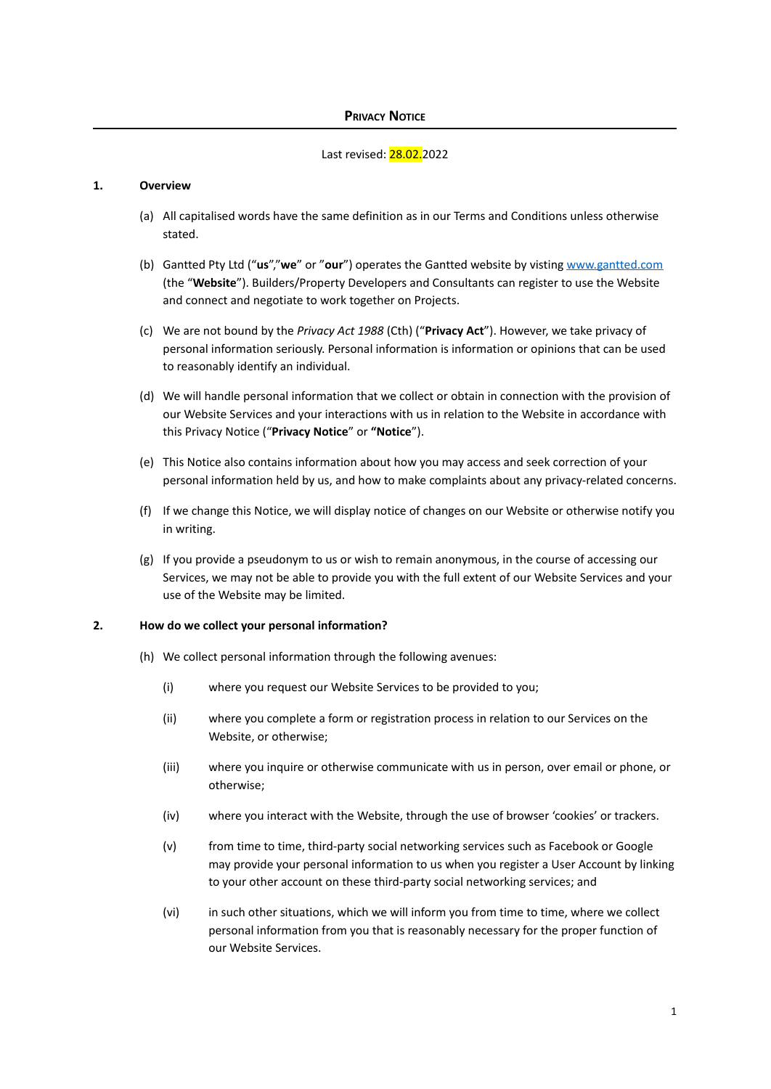#### Last revised: 28.02.2022

#### **1. Overview**

- (a) All capitalised words have the same definition as in our Terms and Conditions unless otherwise stated.
- (b) Gantted Pty Ltd ("**us**","**we**" or "**our**") operates the Gantted website by visting [www.gantted.com](http://www.gantted.com) (the "**Website**"). Builders/Property Developers and Consultants can register to use the Website and connect and negotiate to work together on Projects.
- (c) We are not bound by the *Privacy Act 1988* (Cth) ("**Privacy Act**"). However, we take privacy of personal information seriously. Personal information is information or opinions that can be used to reasonably identify an individual.
- (d) We will handle personal information that we collect or obtain in connection with the provision of our Website Services and your interactions with us in relation to the Website in accordance with this Privacy Notice ("**Privacy Notice**" or **"Notice**").
- (e) This Notice also contains information about how you may access and seek correction of your personal information held by us, and how to make complaints about any privacy-related concerns.
- (f) If we change this Notice, we will display notice of changes on our Website or otherwise notify you in writing.
- (g) If you provide a pseudonym to us or wish to remain anonymous, in the course of accessing our Services, we may not be able to provide you with the full extent of our Website Services and your use of the Website may be limited.

#### **2. How do we collect your personal information?**

- (h) We collect personal information through the following avenues:
	- (i) where you request our Website Services to be provided to you;
	- (ii) where you complete a form or registration process in relation to our Services on the Website, or otherwise;
	- (iii) where you inquire or otherwise communicate with us in person, over email or phone, or otherwise;
	- (iv) where you interact with the Website, through the use of browser 'cookies' or trackers.
	- (v) from time to time, third-party social networking services such as Facebook or Google may provide your personal information to us when you register a User Account by linking to your other account on these third-party social networking services; and
	- (vi) in such other situations, which we will inform you from time to time, where we collect personal information from you that is reasonably necessary for the proper function of our Website Services.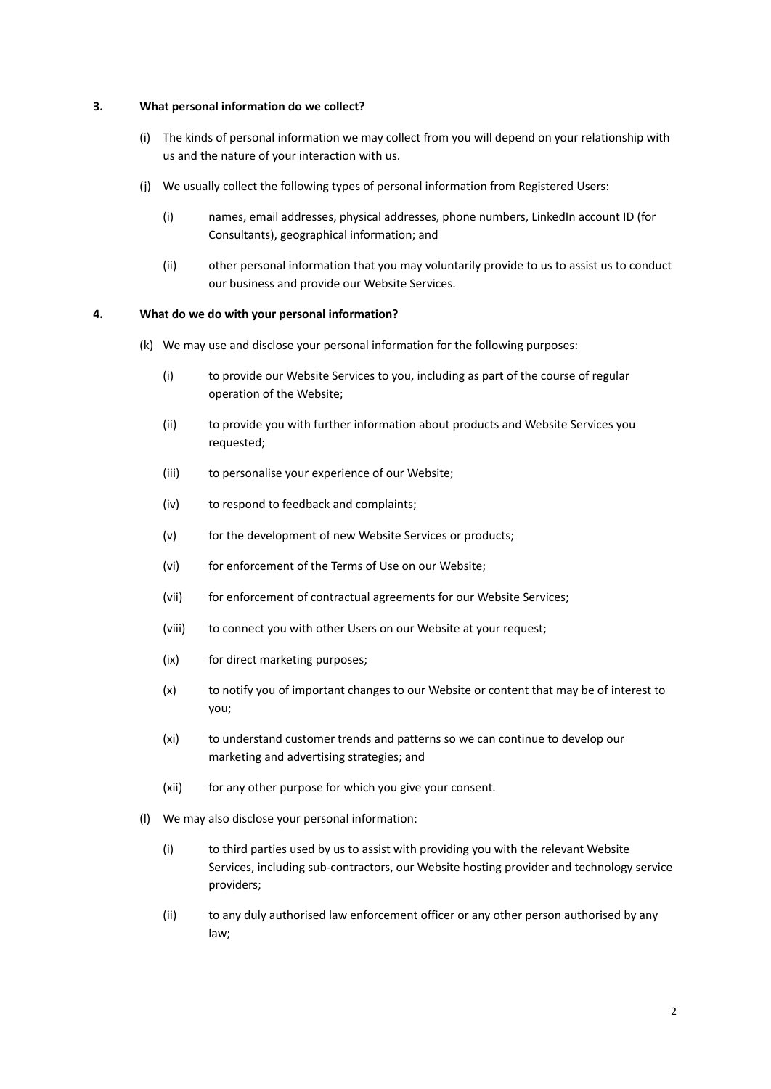#### **3. What personal information do we collect?**

- (i) The kinds of personal information we may collect from you will depend on your relationship with us and the nature of your interaction with us.
- (j) We usually collect the following types of personal information from Registered Users:
	- (i) names, email addresses, physical addresses, phone numbers, LinkedIn account ID (for Consultants), geographical information; and
	- (ii) other personal information that you may voluntarily provide to us to assist us to conduct our business and provide our Website Services.

#### **4. What do we do with your personal information?**

- (k) We may use and disclose your personal information for the following purposes:
	- (i) to provide our Website Services to you, including as part of the course of regular operation of the Website;
	- (ii) to provide you with further information about products and Website Services you requested;
	- (iii) to personalise your experience of our Website;
	- (iv) to respond to feedback and complaints;
	- (v) for the development of new Website Services or products;
	- (vi) for enforcement of the Terms of Use on our Website;
	- (vii) for enforcement of contractual agreements for our Website Services;
	- (viii) to connect you with other Users on our Website at your request;
	- (ix) for direct marketing purposes;
	- (x) to notify you of important changes to our Website or content that may be of interest to you;
	- (xi) to understand customer trends and patterns so we can continue to develop our marketing and advertising strategies; and
	- (xii) for any other purpose for which you give your consent.
- (l) We may also disclose your personal information:
	- (i) to third parties used by us to assist with providing you with the relevant Website Services, including sub-contractors, our Website hosting provider and technology service providers;
	- (ii) to any duly authorised law enforcement officer or any other person authorised by any law;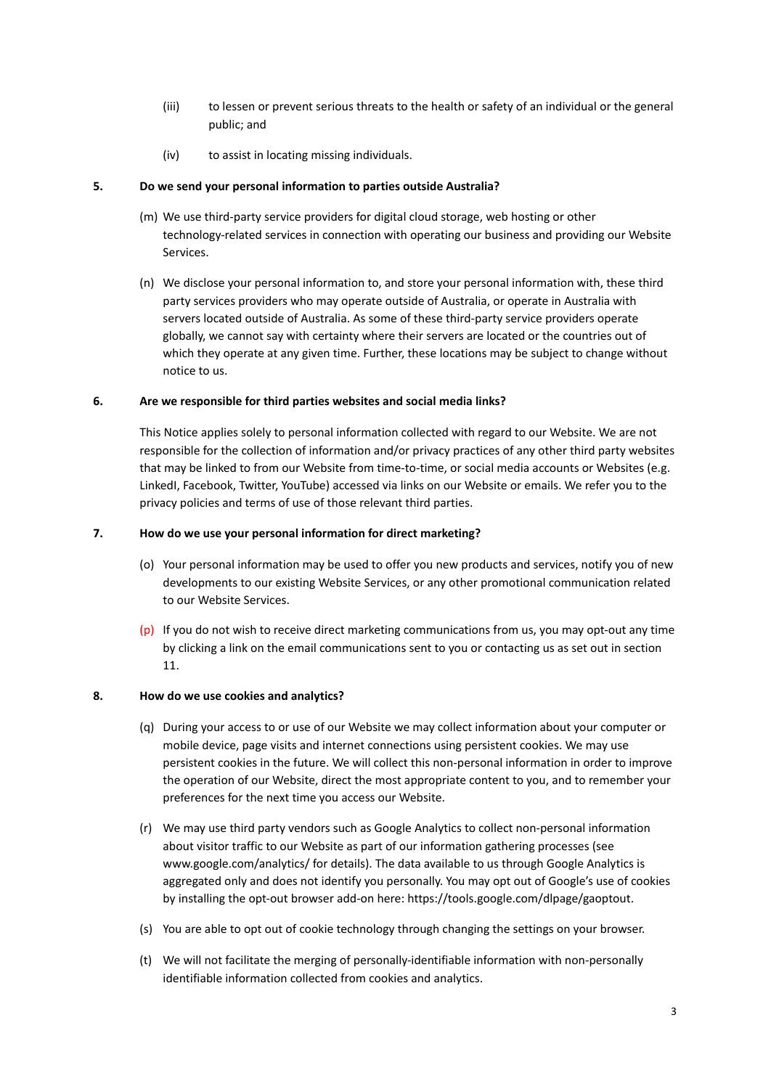- (iii) to lessen or prevent serious threats to the health or safety of an individual or the general public; and
- (iv) to assist in locating missing individuals.

### **5. Do we send your personal information to parties outside Australia?**

- (m) We use third-party service providers for digital cloud storage, web hosting or other technology-related services in connection with operating our business and providing our Website Services.
- (n) We disclose your personal information to, and store your personal information with, these third party services providers who may operate outside of Australia, or operate in Australia with servers located outside of Australia. As some of these third-party service providers operate globally, we cannot say with certainty where their servers are located or the countries out of which they operate at any given time. Further, these locations may be subject to change without notice to us.

## **6. Are we responsible for third parties websites and social media links?**

This Notice applies solely to personal information collected with regard to our Website. We are not responsible for the collection of information and/or privacy practices of any other third party websites that may be linked to from our Website from time-to-time, or social media accounts or Websites (e.g. LinkedI, Facebook, Twitter, YouTube) accessed via links on our Website or emails. We refer you to the privacy policies and terms of use of those relevant third parties.

## **7. How do we use your personal information for direct marketing?**

- (o) Your personal information may be used to offer you new products and services, notify you of new developments to our existing Website Services, or any other promotional communication related to our Website Services.
- $(p)$  If you do not wish to receive direct marketing communications from us, you may opt-out any time by clicking a link on the email communications sent to you or contacting us as set out in section 11.

# **8. How do we use cookies and analytics?**

- (q) During your access to or use of our Website we may collect information about your computer or mobile device, page visits and internet connections using persistent cookies. We may use persistent cookies in the future. We will collect this non-personal information in order to improve the operation of our Website, direct the most appropriate content to you, and to remember your preferences for the next time you access our Website.
- (r) We may use third party vendors such as Google Analytics to collect non-personal information about visitor traffic to our Website as part of our information gathering processes (see www.google.com/analytics/ for details). The data available to us through Google Analytics is aggregated only and does not identify you personally. You may opt out of Google's use of cookies by installing the opt-out browser add-on here: https://tools.google.com/dlpage/gaoptout.
- (s) You are able to opt out of cookie technology through changing the settings on your browser.
- (t) We will not facilitate the merging of personally-identifiable information with non-personally identifiable information collected from cookies and analytics.